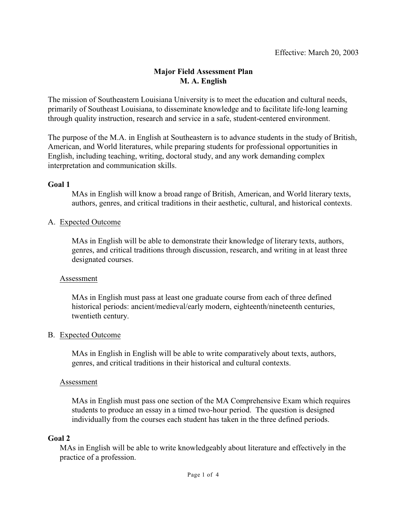## **Major Field Assessment Plan M. A. English**

The mission of Southeastern Louisiana University is to meet the education and cultural needs, primarily of Southeast Louisiana, to disseminate knowledge and to facilitate life-long learning through quality instruction, research and service in a safe, student-centered environment.

The purpose of the M.A. in English at Southeastern is to advance students in the study of British, American, and World literatures, while preparing students for professional opportunities in English, including teaching, writing, doctoral study, and any work demanding complex interpretation and communication skills.

### **Goal 1**

MAs in English will know a broad range of British, American, and World literary texts, authors, genres, and critical traditions in their aesthetic, cultural, and historical contexts.

### A. Expected Outcome

MAs in English will be able to demonstrate their knowledge of literary texts, authors, genres, and critical traditions through discussion, research, and writing in at least three designated courses.

#### Assessment

MAs in English must pass at least one graduate course from each of three defined historical periods: ancient/medieval/early modern, eighteenth/nineteenth centuries, twentieth century.

## B. Expected Outcome

MAs in English in English will be able to write comparatively about texts, authors, genres, and critical traditions in their historical and cultural contexts.

#### Assessment

MAs in English must pass one section of the MA Comprehensive Exam which requires students to produce an essay in a timed two-hour period. The question is designed individually from the courses each student has taken in the three defined periods.

#### **Goal 2**

MAs in English will be able to write knowledgeably about literature and effectively in the practice of a profession.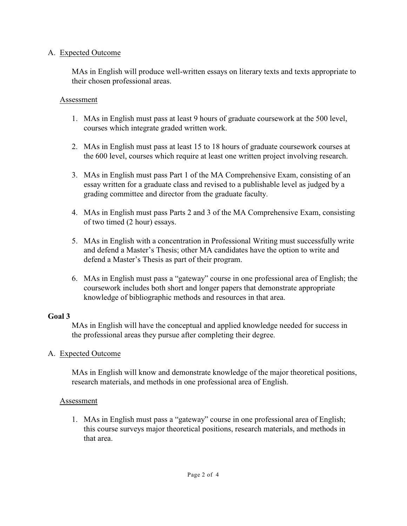### A. Expected Outcome

MAs in English will produce well-written essays on literary texts and texts appropriate to their chosen professional areas.

#### Assessment

- 1. MAs in English must pass at least 9 hours of graduate coursework at the 500 level, courses which integrate graded written work.
- 2. MAs in English must pass at least 15 to 18 hours of graduate coursework courses at the 600 level, courses which require at least one written project involving research.
- 3. MAs in English must pass Part 1 of the MA Comprehensive Exam, consisting of an essay written for a graduate class and revised to a publishable level as judged by a grading committee and director from the graduate faculty.
- 4. MAs in English must pass Parts 2 and 3 of the MA Comprehensive Exam, consisting of two timed (2 hour) essays.
- 5. MAs in English with a concentration in Professional Writing must successfully write and defend a Master's Thesis; other MA candidates have the option to write and defend a Master's Thesis as part of their program.
- 6. MAs in English must pass a "gateway" course in one professional area of English; the coursework includes both short and longer papers that demonstrate appropriate knowledge of bibliographic methods and resources in that area.

## **Goal 3**

MAs in English will have the conceptual and applied knowledge needed for success in the professional areas they pursue after completing their degree.

## A. Expected Outcome

MAs in English will know and demonstrate knowledge of the major theoretical positions, research materials, and methods in one professional area of English.

## Assessment

1. MAs in English must pass a "gateway" course in one professional area of English; this course surveys major theoretical positions, research materials, and methods in that area.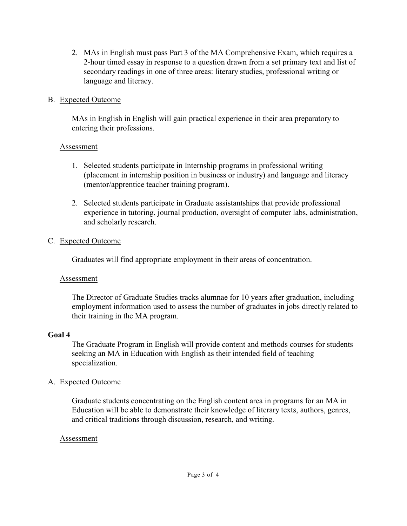2. MAs in English must pass Part 3 of the MA Comprehensive Exam, which requires a 2-hour timed essay in response to a question drawn from a set primary text and list of secondary readings in one of three areas: literary studies, professional writing or language and literacy.

#### B. Expected Outcome

MAs in English in English will gain practical experience in their area preparatory to entering their professions.

### Assessment

- 1. Selected students participate in Internship programs in professional writing (placement in internship position in business or industry) and language and literacy (mentor/apprentice teacher training program).
- 2. Selected students participate in Graduate assistantships that provide professional experience in tutoring, journal production, oversight of computer labs, administration, and scholarly research.

## C. Expected Outcome

Graduates will find appropriate employment in their areas of concentration.

## Assessment

The Director of Graduate Studies tracks alumnae for 10 years after graduation, including employment information used to assess the number of graduates in jobs directly related to their training in the MA program.

## **Goal 4**

The Graduate Program in English will provide content and methods courses for students seeking an MA in Education with English as their intended field of teaching specialization.

## A. Expected Outcome

Graduate students concentrating on the English content area in programs for an MA in Education will be able to demonstrate their knowledge of literary texts, authors, genres, and critical traditions through discussion, research, and writing.

## Assessment